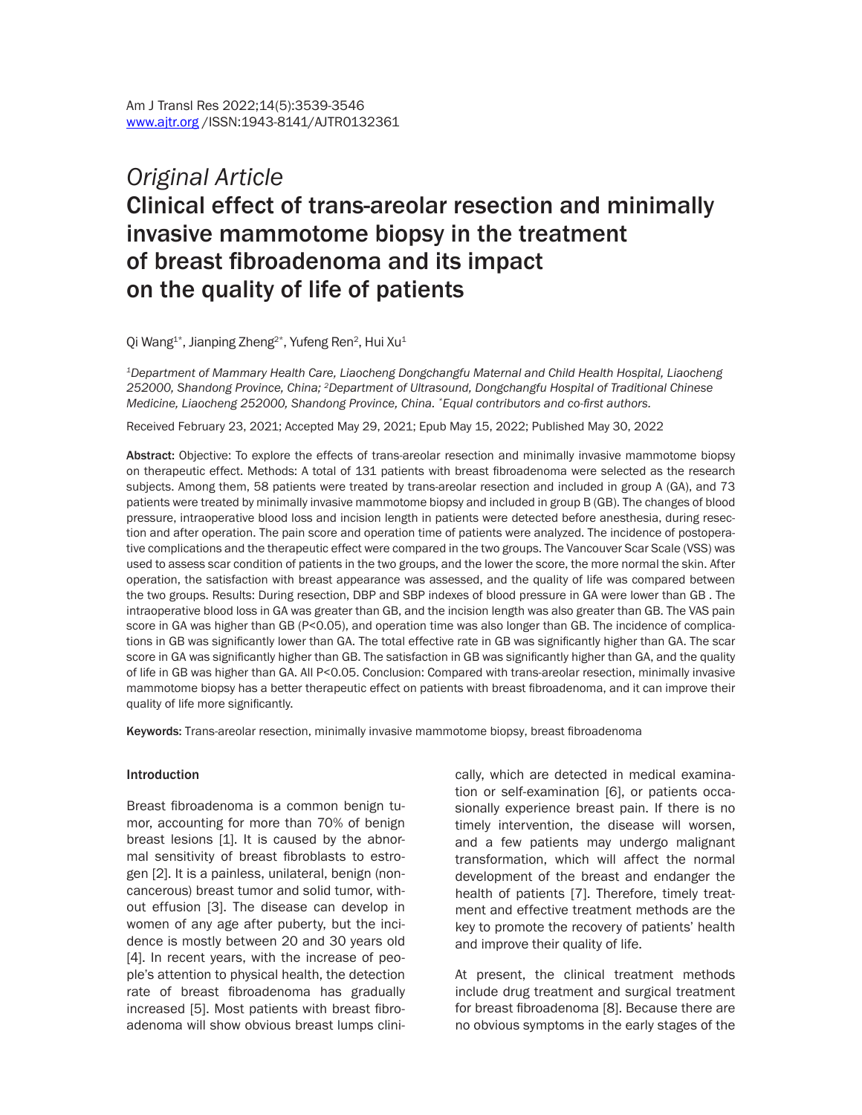# *Original Article* Clinical effect of trans-areolar resection and minimally invasive mammotome biopsy in the treatment of breast fibroadenoma and its impact on the quality of life of patients

Qi Wang $^{1*}$ , Jianping Zheng $^{2*}$ , Yufeng Ren $^2$ , Hui Xu $^1$ 

*1Department of Mammary Health Care, Liaocheng Dongchangfu Maternal and Child Health Hospital, Liaocheng 252000, Shandong Province, China; 2Department of Ultrasound, Dongchangfu Hospital of Traditional Chinese Medicine, Liaocheng 252000, Shandong Province, China. \*Equal contributors and co-first authors.*

Received February 23, 2021; Accepted May 29, 2021; Epub May 15, 2022; Published May 30, 2022

Abstract: Objective: To explore the effects of trans-areolar resection and minimally invasive mammotome biopsy on therapeutic effect. Methods: A total of 131 patients with breast fibroadenoma were selected as the research subjects. Among them, 58 patients were treated by trans-areolar resection and included in group A (GA), and 73 patients were treated by minimally invasive mammotome biopsy and included in group B (GB). The changes of blood pressure, intraoperative blood loss and incision length in patients were detected before anesthesia, during resection and after operation. The pain score and operation time of patients were analyzed. The incidence of postoperative complications and the therapeutic effect were compared in the two groups. The Vancouver Scar Scale (VSS) was used to assess scar condition of patients in the two groups, and the lower the score, the more normal the skin. After operation, the satisfaction with breast appearance was assessed, and the quality of life was compared between the two groups. Results: During resection, DBP and SBP indexes of blood pressure in GA were lower than GB . The intraoperative blood loss in GA was greater than GB, and the incision length was also greater than GB. The VAS pain score in GA was higher than GB (P<0.05), and operation time was also longer than GB. The incidence of complications in GB was significantly lower than GA. The total effective rate in GB was significantly higher than GA. The scar score in GA was significantly higher than GB. The satisfaction in GB was significantly higher than GA, and the quality of life in GB was higher than GA. All P<0.05. Conclusion: Compared with trans-areolar resection, minimally invasive mammotome biopsy has a better therapeutic effect on patients with breast fibroadenoma, and it can improve their quality of life more significantly.

Keywords: Trans-areolar resection, minimally invasive mammotome biopsy, breast fibroadenoma

#### Introduction

Breast fibroadenoma is a common benign tumor, accounting for more than 70% of benign breast lesions [1]. It is caused by the abnormal sensitivity of breast fibroblasts to estrogen [2]. It is a painless, unilateral, benign (noncancerous) breast tumor and solid tumor, without effusion [3]. The disease can develop in women of any age after puberty, but the incidence is mostly between 20 and 30 years old [4]. In recent years, with the increase of people's attention to physical health, the detection rate of breast fibroadenoma has gradually increased [5]. Most patients with breast fibroadenoma will show obvious breast lumps clinically, which are detected in medical examination or self-examination [6], or patients occasionally experience breast pain. If there is no timely intervention, the disease will worsen, and a few patients may undergo malignant transformation, which will affect the normal development of the breast and endanger the health of patients [7]. Therefore, timely treatment and effective treatment methods are the key to promote the recovery of patients' health and improve their quality of life.

At present, the clinical treatment methods include drug treatment and surgical treatment for breast fibroadenoma [8]. Because there are no obvious symptoms in the early stages of the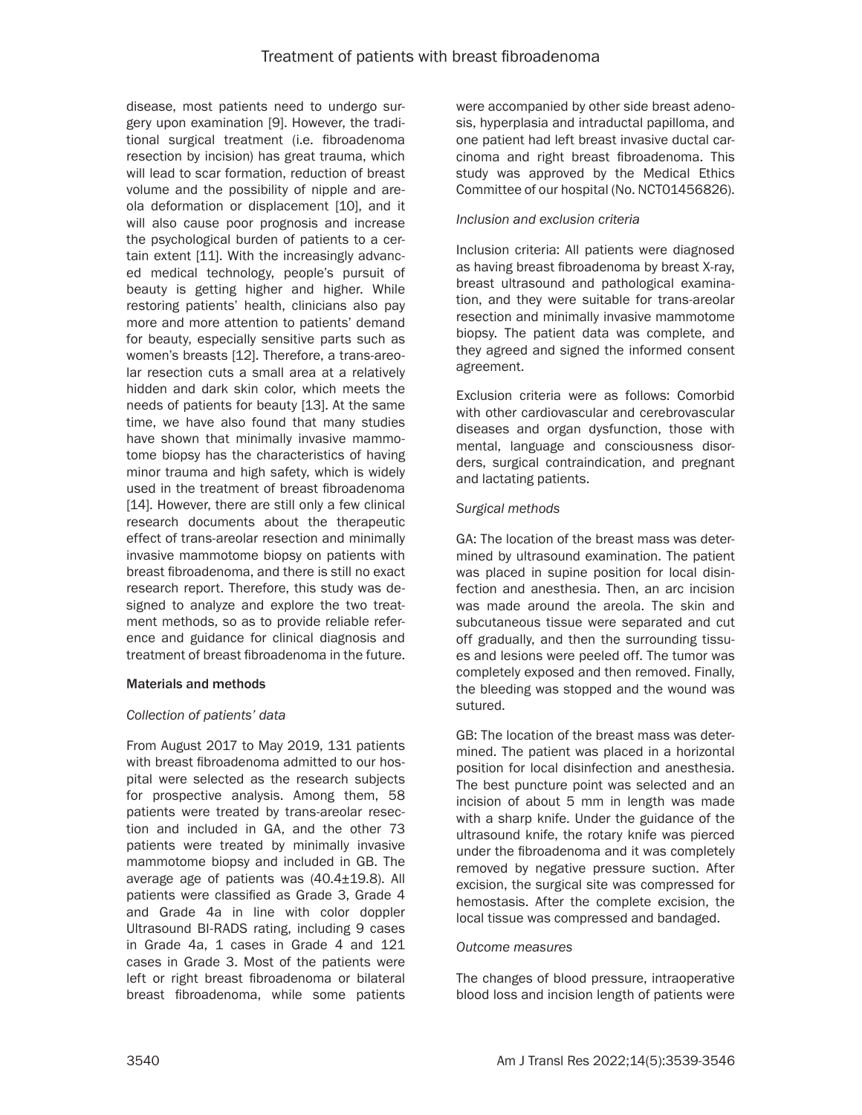disease, most patients need to undergo surgery upon examination [9]. However, the traditional surgical treatment (i.e. fibroadenoma resection by incision) has great trauma, which will lead to scar formation, reduction of breast volume and the possibility of nipple and areola deformation or displacement [10], and it will also cause poor prognosis and increase the psychological burden of patients to a certain extent [11]. With the increasingly advanced medical technology, people's pursuit of beauty is getting higher and higher. While restoring patients' health, clinicians also pay more and more attention to patients' demand for beauty, especially sensitive parts such as women's breasts [12]. Therefore, a trans-areolar resection cuts a small area at a relatively hidden and dark skin color, which meets the needs of patients for beauty [13]. At the same time, we have also found that many studies have shown that minimally invasive mammotome biopsy has the characteristics of having minor trauma and high safety, which is widely used in the treatment of breast fibroadenoma [14]. However, there are still only a few clinical research documents about the therapeutic effect of trans-areolar resection and minimally invasive mammotome biopsy on patients with breast fibroadenoma, and there is still no exact research report. Therefore, this study was designed to analyze and explore the two treatment methods, so as to provide reliable reference and guidance for clinical diagnosis and treatment of breast fibroadenoma in the future.

## Materials and methods

## *Collection of patients' data*

From August 2017 to May 2019, 131 patients with breast fibroadenoma admitted to our hospital were selected as the research subjects for prospective analysis. Among them, 58 patients were treated by trans-areolar resection and included in GA, and the other 73 patients were treated by minimally invasive mammotome biopsy and included in GB. The average age of patients was (40.4±19.8). All patients were classified as Grade 3, Grade 4 and Grade 4a in line with color doppler Ultrasound BI-RADS rating, including 9 cases in Grade 4a, 1 cases in Grade 4 and 121 cases in Grade 3. Most of the patients were left or right breast fibroadenoma or bilateral breast fibroadenoma, while some patients

were accompanied by other side breast adenosis, hyperplasia and intraductal papilloma, and one patient had left breast invasive ductal carcinoma and right breast fibroadenoma. This study was approved by the Medical Ethics Committee of our hospital (No. NCT01456826).

## *Inclusion and exclusion criteria*

Inclusion criteria: All patients were diagnosed as having breast fibroadenoma by breast X-ray, breast ultrasound and pathological examination, and they were suitable for trans-areolar resection and minimally invasive mammotome biopsy. The patient data was complete, and they agreed and signed the informed consent agreement.

Exclusion criteria were as follows: Comorbid with other cardiovascular and cerebrovascular diseases and organ dysfunction, those with mental, language and consciousness disorders, surgical contraindication, and pregnant and lactating patients.

### *Surgical methods*

GA: The location of the breast mass was determined by ultrasound examination. The patient was placed in supine position for local disinfection and anesthesia. Then, an arc incision was made around the areola. The skin and subcutaneous tissue were separated and cut off gradually, and then the surrounding tissues and lesions were peeled off. The tumor was completely exposed and then removed. Finally, the bleeding was stopped and the wound was sutured.

GB: The location of the breast mass was determined. The patient was placed in a horizontal position for local disinfection and anesthesia. The best puncture point was selected and an incision of about 5 mm in length was made with a sharp knife. Under the guidance of the ultrasound knife, the rotary knife was pierced under the fibroadenoma and it was completely removed by negative pressure suction. After excision, the surgical site was compressed for hemostasis. After the complete excision, the local tissue was compressed and bandaged.

#### *Outcome measures*

The changes of blood pressure, intraoperative blood loss and incision length of patients were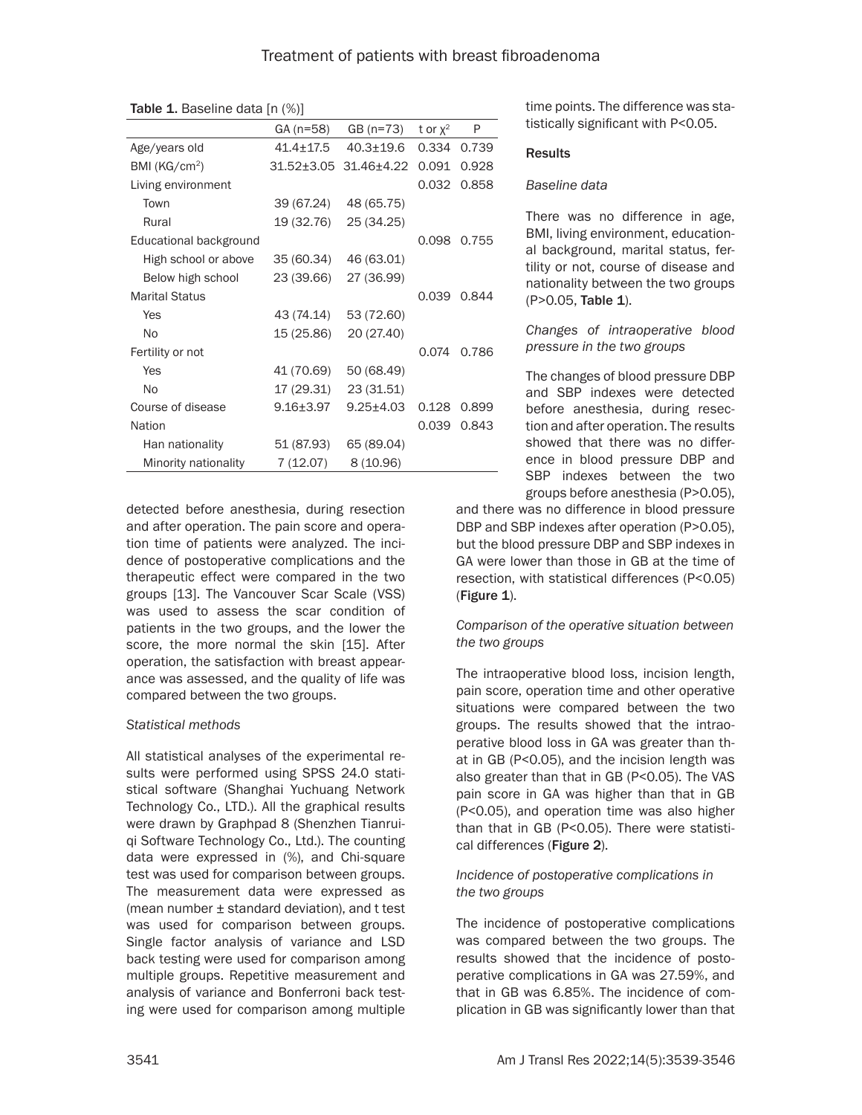|                           | GA (n=58)       | $GB(n=73)$            | t or $x^2$ | P     |
|---------------------------|-----------------|-----------------------|------------|-------|
| Age/years old             | $41.4 \pm 17.5$ | $40.3 + 19.6$         | 0.334      | 0.739 |
| BMI (KG/cm <sup>2</sup> ) |                 | 31.52±3.05 31.46±4.22 | 0.091      | 0.928 |
| Living environment        |                 |                       | 0.032      | 0.858 |
| Town                      | 39 (67.24)      | 48 (65.75)            |            |       |
| Rural                     | 19 (32.76)      | 25 (34.25)            |            |       |
| Educational background    |                 |                       | 0.098      | 0.755 |
| High school or above      | 35 (60.34)      | 46 (63.01)            |            |       |
| Below high school         | 23 (39.66)      | 27 (36.99)            |            |       |
| <b>Marital Status</b>     |                 |                       | 0.039      | 0.844 |
| Yes                       | 43 (74.14)      | 53 (72.60)            |            |       |
| No                        | 15 (25.86)      | 20 (27.40)            |            |       |
| Fertility or not          |                 |                       | 0.074      | 0.786 |
| Yes                       | 41 (70.69)      | 50 (68.49)            |            |       |
| No                        | 17 (29.31)      | 23 (31.51)            |            |       |
| Course of disease         | $9.16 + 3.97$   | $9.25 \pm 4.03$       | 0.128      | 0.899 |
| Nation                    |                 |                       | 0.039      | 0.843 |
| Han nationality           | 51 (87.93)      | 65 (89.04)            |            |       |
| Minority nationality      | 7(12.07)        | 8(10.96)              |            |       |

Table 1. Baseline data [n (%)]

detected before anesthesia, during resection and after operation. The pain score and operation time of patients were analyzed. The incidence of postoperative complications and the therapeutic effect were compared in the two groups [13]. The Vancouver Scar Scale (VSS) was used to assess the scar condition of patients in the two groups, and the lower the score, the more normal the skin [15]. After operation, the satisfaction with breast appearance was assessed, and the quality of life was compared between the two groups.

## *Statistical methods*

All statistical analyses of the experimental results were performed using SPSS 24.0 statistical software (Shanghai Yuchuang Network Technology Co., LTD.). All the graphical results were drawn by Graphpad 8 (Shenzhen Tianruiqi Software Technology Co., Ltd.). The counting data were expressed in (%), and Chi-square test was used for comparison between groups. The measurement data were expressed as (mean number ± standard deviation), and t test was used for comparison between groups. Single factor analysis of variance and LSD back testing were used for comparison among multiple groups. Repetitive measurement and analysis of variance and Bonferroni back testing were used for comparison among multiple

time points. The difference was statistically significant with P<0.05.

## **Results**

### *Baseline data*

There was no difference in age, BMI, living environment, educational background, marital status, fertility or not, course of disease and nationality between the two groups (P>0.05, Table 1).

*Changes of intraoperative blood pressure in the two groups*

The changes of blood pressure DBP and SBP indexes were detected before anesthesia, during resection and after operation. The results showed that there was no difference in blood pressure DBP and SBP indexes between the two groups before anesthesia (P>0.05),

and there was no difference in blood pressure DBP and SBP indexes after operation (P>0.05), but the blood pressure DBP and SBP indexes in GA were lower than those in GB at the time of resection, with statistical differences (P<0.05) (Figure 1).

# *Comparison of the operative situation between the two groups*

The intraoperative blood loss, incision length, pain score, operation time and other operative situations were compared between the two groups. The results showed that the intraoperative blood loss in GA was greater than that in GB (P<0.05), and the incision length was also greater than that in GB (P<0.05). The VAS pain score in GA was higher than that in GB (P<0.05), and operation time was also higher than that in GB (P<0.05). There were statistical differences (Figure 2).

# *Incidence of postoperative complications in the two groups*

The incidence of postoperative complications was compared between the two groups. The results showed that the incidence of postoperative complications in GA was 27.59%, and that in GB was 6.85%. The incidence of complication in GB was significantly lower than that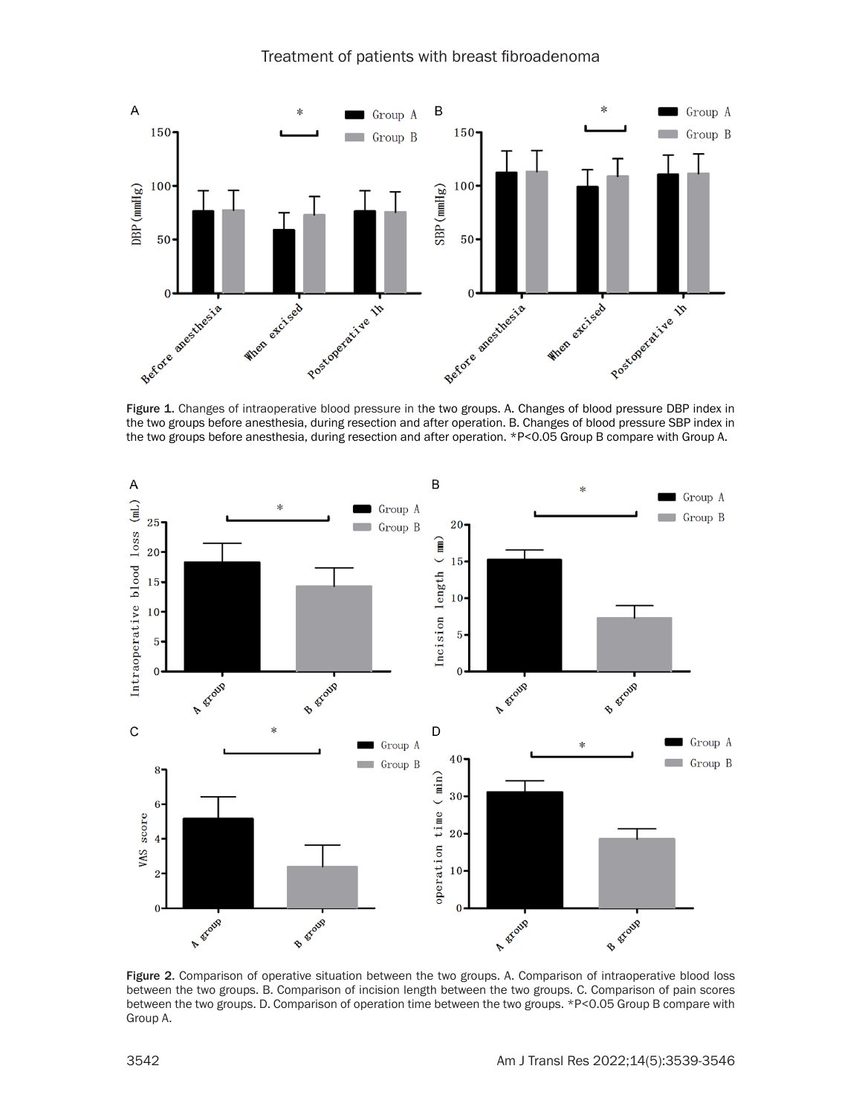



Figure 1. Changes of intraoperative blood pressure in the two groups. A. Changes of blood pressure DBP index in the two groups before anesthesia, during resection and after operation. B. Changes of blood pressure SBP index in the two groups before anesthesia, during resection and after operation. \*P<0.05 Group B compare with Group A.



Figure 2. Comparison of operative situation between the two groups. A. Comparison of intraoperative blood loss between the two groups. B. Comparison of incision length between the two groups. C. Comparison of pain scores between the two groups. D. Comparison of operation time between the two groups. \*P<0.05 Group B compare with Group A.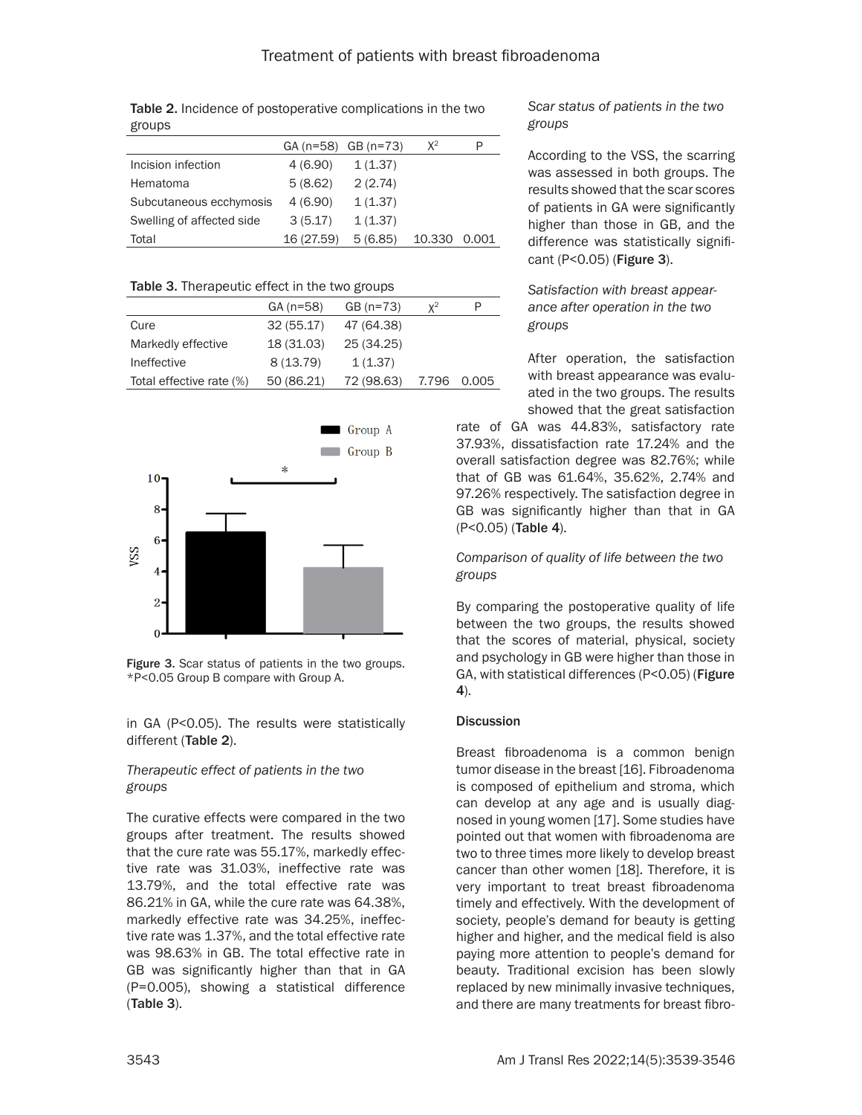| $\sim$ $\sim$ $\sim$ $\sim$ |            |                     |        |       |
|-----------------------------|------------|---------------------|--------|-------|
|                             |            | GA (n=58) GB (n=73) | $X^2$  | P     |
| Incision infection          | 4 (6.90)   | 1(1.37)             |        |       |
| Hematoma                    | 5(8.62)    | 2(2.74)             |        |       |
| Subcutaneous ecchymosis     | 4 (6.90)   | 1(1.37)             |        |       |
| Swelling of affected side   | 3(5.17)    | 1(1.37)             |        |       |
| Total                       | 16 (27.59) | 5(6.85)             | 10.330 | 0.001 |

Table 2. Incidence of postoperative complications in the two groups

#### Table 3. Therapeutic effect in the two groups

|                          | $GA(n=58)$ | $GB(n=73)$ | $\mathsf{v}^2$ | P     |
|--------------------------|------------|------------|----------------|-------|
| Cure                     | 32(55.17)  | 47 (64.38) |                |       |
| Markedly effective       | 18 (31.03) | 25 (34.25) |                |       |
| Ineffective              | 8(13.79)   | 1(1.37)    |                |       |
| Total effective rate (%) | 50 (86.21) | 72 (98.63) | 7.796          | 0.005 |



Figure 3. Scar status of patients in the two groups. \*P<0.05 Group B compare with Group A.

in GA (P<0.05). The results were statistically different (Table 2).

# *Therapeutic effect of patients in the two groups*

The curative effects were compared in the two groups after treatment. The results showed that the cure rate was 55.17%, markedly effective rate was 31.03%, ineffective rate was 13.79%, and the total effective rate was 86.21% in GA, while the cure rate was 64.38%, markedly effective rate was 34.25%, ineffective rate was 1.37%, and the total effective rate was 98.63% in GB. The total effective rate in GB was significantly higher than that in GA (P=0.005), showing a statistical difference (Table 3).

# *Scar status of patients in the two groups*

According to the VSS, the scarring was assessed in both groups. The results showed that the scar scores of patients in GA were significantly higher than those in GB, and the difference was statistically significant (P<0.05) (Figure 3).

*Satisfaction with breast appearance after operation in the two groups*

After operation, the satisfaction with breast appearance was evaluated in the two groups. The results showed that the great satisfaction

rate of GA was 44.83%, satisfactory rate 37.93%, dissatisfaction rate 17.24% and the overall satisfaction degree was 82.76%; while that of GB was 61.64%, 35.62%, 2.74% and 97.26% respectively. The satisfaction degree in GB was significantly higher than that in GA (P<0.05) (Table 4).

# *Comparison of quality of life between the two groups*

By comparing the postoperative quality of life between the two groups, the results showed that the scores of material, physical, society and psychology in GB were higher than those in GA, with statistical differences (P<0.05) (Figure 4).

# **Discussion**

Breast fibroadenoma is a common benign tumor disease in the breast [16]. Fibroadenoma is composed of epithelium and stroma, which can develop at any age and is usually diagnosed in young women [17]. Some studies have pointed out that women with fibroadenoma are two to three times more likely to develop breast cancer than other women [18]. Therefore, it is very important to treat breast fibroadenoma timely and effectively. With the development of society, people's demand for beauty is getting higher and higher, and the medical field is also paying more attention to people's demand for beauty. Traditional excision has been slowly replaced by new minimally invasive techniques, and there are many treatments for breast fibro-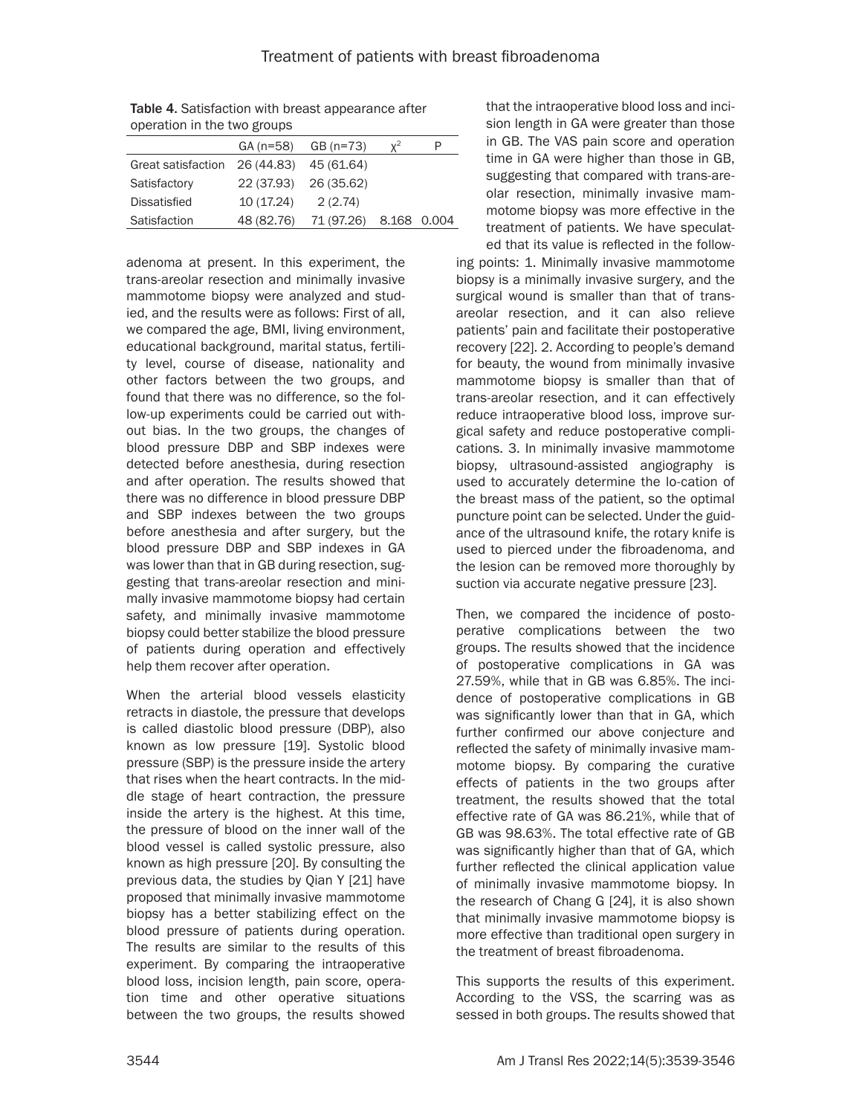| <b>ODCTUDITIII GIU LIVO EIUUDJ</b> |            |                        |                |  |
|------------------------------------|------------|------------------------|----------------|--|
|                                    |            | $GA(n=58)$ $GB(n=73)$  | $\mathbf{v}^2$ |  |
| Great satisfaction                 | 26 (44.83) | 45 (61.64)             |                |  |
| Satisfactory                       |            | 22 (37.93) 26 (35.62)  |                |  |
| <b>Dissatisfied</b>                | 10 (17.24) | 2(2.74)                |                |  |
| Satisfaction                       | 48 (82.76) | 71 (97.26) 8.168 0.004 |                |  |

Table 4. Satisfaction with breast appearance after operation in the two groups

adenoma at present. In this experiment, the trans-areolar resection and minimally invasive mammotome biopsy were analyzed and studied, and the results were as follows: First of all, we compared the age, BMI, living environment, educational background, marital status, fertility level, course of disease, nationality and other factors between the two groups, and found that there was no difference, so the follow-up experiments could be carried out without bias. In the two groups, the changes of blood pressure DBP and SBP indexes were detected before anesthesia, during resection and after operation. The results showed that there was no difference in blood pressure DBP and SBP indexes between the two groups before anesthesia and after surgery, but the blood pressure DBP and SBP indexes in GA was lower than that in GB during resection, suggesting that trans-areolar resection and minimally invasive mammotome biopsy had certain safety, and minimally invasive mammotome biopsy could better stabilize the blood pressure of patients during operation and effectively help them recover after operation.

When the arterial blood vessels elasticity retracts in diastole, the pressure that develops is called diastolic blood pressure (DBP), also known as low pressure [19]. Systolic blood pressure (SBP) is the pressure inside the artery that rises when the heart contracts. In the middle stage of heart contraction, the pressure inside the artery is the highest. At this time, the pressure of blood on the inner wall of the blood vessel is called systolic pressure, also known as high pressure [20]. By consulting the previous data, the studies by Qian Y [21] have proposed that minimally invasive mammotome biopsy has a better stabilizing effect on the blood pressure of patients during operation. The results are similar to the results of this experiment. By comparing the intraoperative blood loss, incision length, pain score, operation time and other operative situations between the two groups, the results showed

that the intraoperative blood loss and incision length in GA were greater than those in GB. The VAS pain score and operation time in GA were higher than those in GB, suggesting that compared with trans-areolar resection, minimally invasive mammotome biopsy was more effective in the treatment of patients. We have speculat-

ing points: 1. Minimally invasive mammotome biopsy is a minimally invasive surgery, and the surgical wound is smaller than that of transareolar resection, and it can also relieve patients' pain and facilitate their postoperative recovery [22]. 2. According to people's demand for beauty, the wound from minimally invasive mammotome biopsy is smaller than that of trans-areolar resection, and it can effectively reduce intraoperative blood loss, improve surgical safety and reduce postoperative complications. 3. In minimally invasive mammotome biopsy, ultrasound-assisted angiography is used to accurately determine the lo-cation of the breast mass of the patient, so the optimal puncture point can be selected. Under the guidance of the ultrasound knife, the rotary knife is used to pierced under the fibroadenoma, and the lesion can be removed more thoroughly by suction via accurate negative pressure [23]. ed that its value is reflected in the follow-

Then, we compared the incidence of postoperative complications between the two groups. The results showed that the incidence of postoperative complications in GA was 27.59%, while that in GB was 6.85%. The incidence of postoperative complications in GB was significantly lower than that in GA, which further confirmed our above conjecture and reflected the safety of minimally invasive mammotome biopsy. By comparing the curative effects of patients in the two groups after treatment, the results showed that the total effective rate of GA was 86.21%, while that of GB was 98.63%. The total effective rate of GB was significantly higher than that of GA, which further reflected the clinical application value of minimally invasive mammotome biopsy. In the research of Chang G [24], it is also shown that minimally invasive mammotome biopsy is more effective than traditional open surgery in the treatment of breast fibroadenoma.

This supports the results of this experiment. According to the VSS, the scarring was as sessed in both groups. The results showed that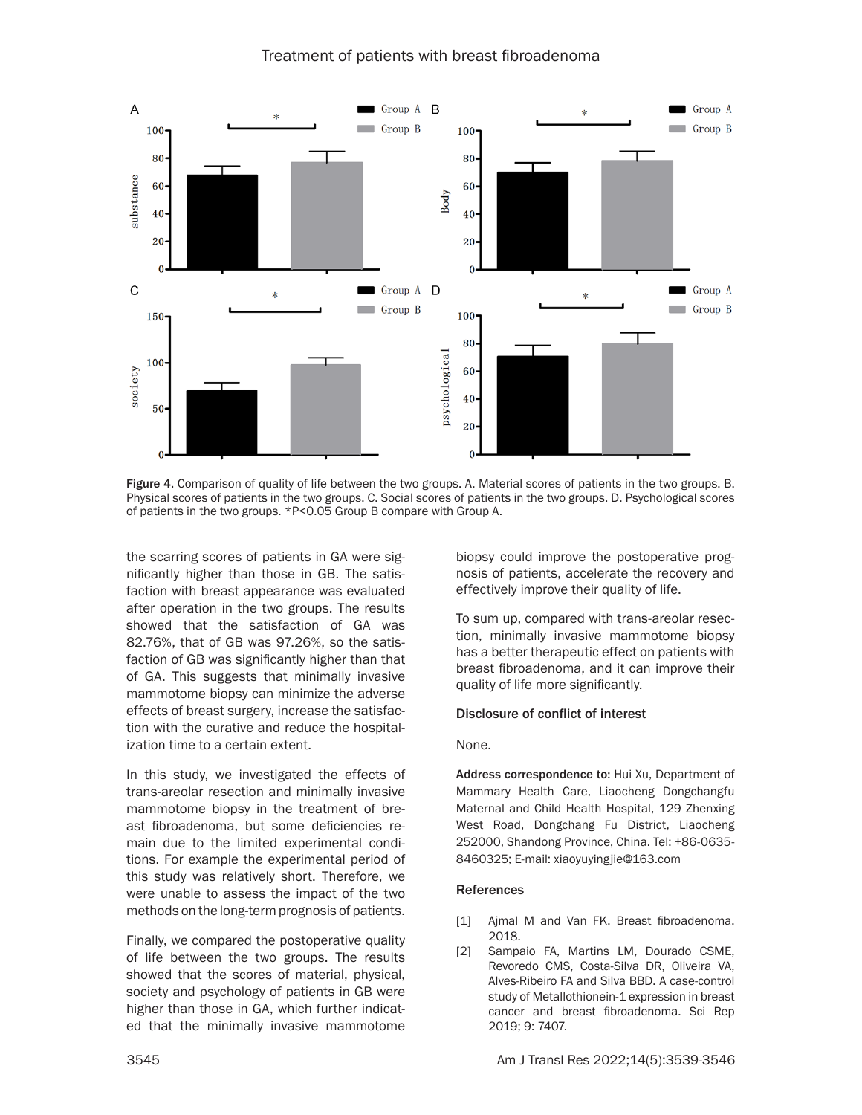# Treatment of patients with breast fibroadenoma



Figure 4. Comparison of quality of life between the two groups. A. Material scores of patients in the two groups. B. Physical scores of patients in the two groups. C. Social scores of patients in the two groups. D. Psychological scores of patients in the two groups. \*P<0.05 Group B compare with Group A.

the scarring scores of patients in GA were significantly higher than those in GB. The satisfaction with breast appearance was evaluated after operation in the two groups. The results showed that the satisfaction of GA was 82.76%, that of GB was 97.26%, so the satisfaction of GB was significantly higher than that of GA. This suggests that minimally invasive mammotome biopsy can minimize the adverse effects of breast surgery, increase the satisfaction with the curative and reduce the hospitalization time to a certain extent.

In this study, we investigated the effects of trans-areolar resection and minimally invasive mammotome biopsy in the treatment of breast fibroadenoma, but some deficiencies remain due to the limited experimental conditions. For example the experimental period of this study was relatively short. Therefore, we were unable to assess the impact of the two methods on the long-term prognosis of patients.

Finally, we compared the postoperative quality of life between the two groups. The results showed that the scores of material, physical, society and psychology of patients in GB were higher than those in GA, which further indicated that the minimally invasive mammotome biopsy could improve the postoperative prognosis of patients, accelerate the recovery and effectively improve their quality of life.

To sum up, compared with trans-areolar resection, minimally invasive mammotome biopsy has a better therapeutic effect on patients with breast fibroadenoma, and it can improve their quality of life more significantly.

#### Disclosure of conflict of interest

#### None.

Address correspondence to: Hui Xu, Department of Mammary Health Care, Liaocheng Dongchangfu Maternal and Child Health Hospital, 129 Zhenxing West Road, Dongchang Fu District, Liaocheng 252000, Shandong Province, China. Tel: +86-0635- 8460325; E-mail: [xiaoyuyingjie@163.com](mailto:xiaoyuyingjie@163.com)

#### References

- [1] Ajmal M and Van FK. Breast fibroadenoma. 2018.
- [2] Sampaio FA, Martins LM, Dourado CSME, Revoredo CMS, Costa-Silva DR, Oliveira VA, Alves-Ribeiro FA and Silva BBD. A case-control study of Metallothionein-1 expression in breast cancer and breast fibroadenoma. Sci Rep 2019; 9: 7407.